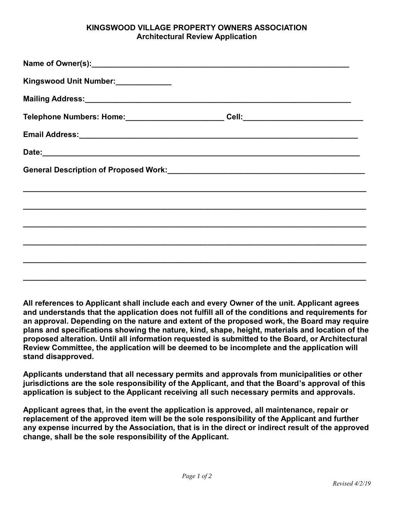## **KINGSWOOD VILLAGE PROPERTY OWNERS ASSOCIATION Architectural Review Application**

| Kingswood Unit Number:_____________ |                                      |
|-------------------------------------|--------------------------------------|
|                                     |                                      |
|                                     | _Cell:______________________________ |
|                                     |                                      |
|                                     |                                      |
|                                     |                                      |
|                                     |                                      |
|                                     |                                      |
|                                     |                                      |
|                                     |                                      |
|                                     |                                      |
|                                     |                                      |

**All references to Applicant shall include each and every Owner of the unit. Applicant agrees and understands that the application does not fulfill all of the conditions and requirements for an approval. Depending on the nature and extent of the proposed work, the Board may require plans and specifications showing the nature, kind, shape, height, materials and location of the proposed alteration. Until all information requested is submitted to the Board, or Architectural Review Committee, the application will be deemed to be incomplete and the application will stand disapproved.**

**Applicants understand that all necessary permits and approvals from municipalities or other jurisdictions are the sole responsibility of the Applicant, and that the Board's approval of this application is subject to the Applicant receiving all such necessary permits and approvals.**

**Applicant agrees that, in the event the application is approved, all maintenance, repair or replacement of the approved item will be the sole responsibility of the Applicant and further any expense incurred by the Association, that is in the direct or indirect result of the approved change, shall be the sole responsibility of the Applicant.**